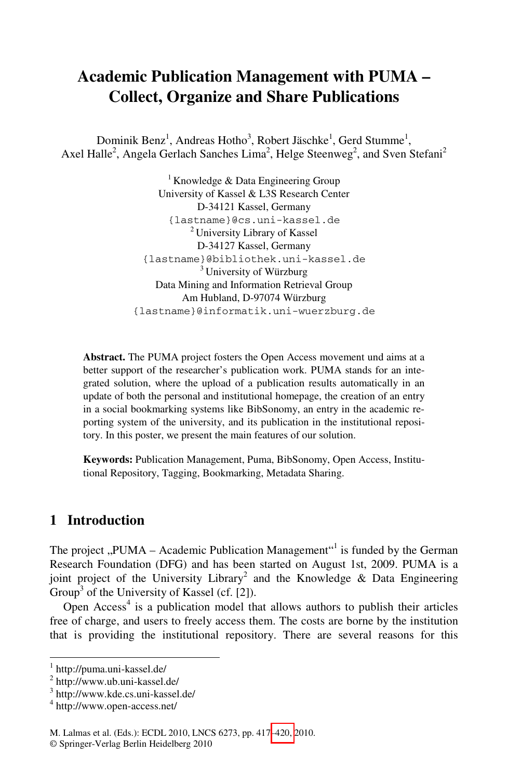# **Academic Publication Management with PUMA – Collect, Organize and Share Publications**

Dominik Benz<sup>1</sup>, Andreas Hotho<sup>3</sup>, Robert Jäschke<sup>1</sup>, Gerd Stumme<sup>1</sup>, Axel Halle<sup>2</sup>, Angela Gerlach Sanches Lima<sup>2</sup>, Helge Steenweg<sup>2</sup>, and Sven Stefani<sup>2</sup>

> $1$  Knowledge & Data Engineering Group University of Kassel & L3S Research Center D-34121 Kassel, Germany {lastname}@cs.uni-kassel.de 2 University Library of Kassel D-34127 Kassel, Germany {lastname}@bibliothek.uni-kassel.de  $3$  University of Würzburg Data Mining and Information Retrieval Group Am Hubland, D-97074 Würzburg {lastname}@informatik.uni-wuerzburg.de

**Abstract.** The PUMA project fosters the Open Access movement und aims at a better support of the researcher's publication work. PUMA stands for an integrated solution, where the upload of a publication results automatically in an update of both the personal and institutional homepage, the creation of an entry in a social bookmarking systems like BibSonomy, an entry in the academic reporting system of the university, and its publication in the institutional repository. In this poster, we present the main features of our solution.

**Keywords:** Publication Management, Puma, BibSonomy, Open Access, Institutional Repository, Tagging, Bookmarking, Metadata Sharing.

#### **1 Introduction**

The project "PUMA – Academic Publication Management"<sup>1</sup> is funded by the German Research Foundation (DFG) and has been started on August 1st, 2009. PUMA is a joint project of the University Library<sup>2</sup> and the Knowledge & Data Engineering Group<sup>3</sup> of the University of Kassel (cf. [2]).

Open Access<sup>4</sup> is a publication model that allows authors to publish their articles free of charge, and users [to fre](#page-3-0)ely access them. The costs are borne by the institution that is providing the institutional repository. There are several reasons for this

-

<sup>1</sup> http://puma.uni-kassel.de/

<sup>&</sup>lt;sup>2</sup> http://www.ub.uni-kassel.de/

<sup>3</sup> http://www.kde.cs.uni-kassel.de/

<sup>4</sup> http://www.open-access.net/

M. Lalmas et al. (Eds.): ECDL 2010, LNCS 6273, pp. 417–420, 2010. © Springer-Verlag Berlin Heidelberg 2010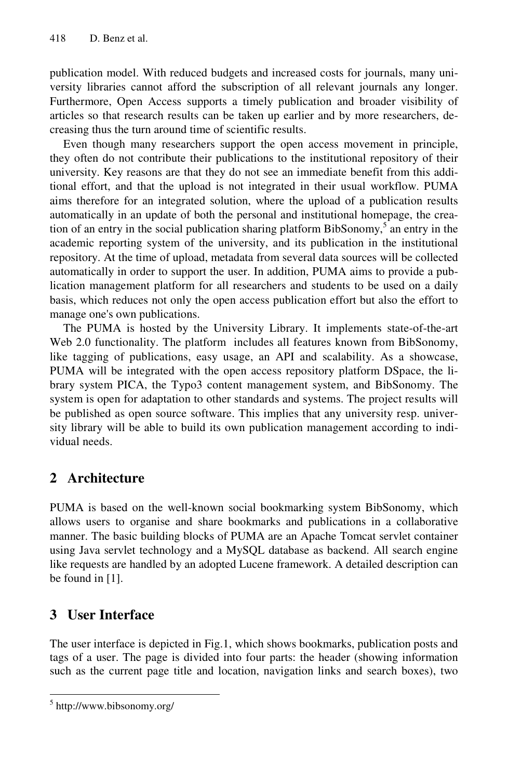publication model. With reduced budgets and increased costs for journals, many university libraries cannot afford the subscription of all relevant journals any longer. Furthermore, Open Access supports a timely publication and broader visibility of articles so that research results can be taken up earlier and by more researchers, decreasing thus the turn around time of scientific results.

Even though many researchers support the open access movement in principle, they often do not contribute their publications to the institutional repository of their university. Key reasons are that they do not see an immediate benefit from this additional effort, and that the upload is not integrated in their usual workflow. PUMA aims therefore for an integrated solution, where the upload of a publication results automatically in an update of both the personal and institutional homepage, the creation of an entry in the social publication sharing platform BibSonomy,<sup>5</sup> an entry in the academic reporting system of the university, and its publication in the institutional repository. At the time of upload, metadata from several data sources will be collected automatically in order to support the user. In addition, PUMA aims to provide a publication management platform for all researchers and students to be used on a daily basis, which reduces not only the open access publication effort but also the effort to manage one's own publications.

The PUMA is hosted by the University Library. It implements state-of-the-art Web 2.0 functionality. The platform includes all features known from BibSonomy, like tagging of publications, easy usage, an API and scalability. As a showcase, PUMA will be integrated with the open access repository platform DSpace, the library system PICA, the Typo3 content management system, and BibSonomy. The system is open for adaptation to other standards and systems. The project results will be published as open source software. This implies that any university resp. university library will be able to build its own publication management according to individual needs.

# **2 Architecture**

PUMA is based on the well-known social bookmarking system BibSonomy, which allows users to organise and share bookmarks and publications in a collaborative manner. The basic building blocks of PUMA are an Apache Tomcat servlet container using Java servlet technology and a MySQL database as backend. All search engine like requests are handled by an adopted Lucene framework. A detailed description can be found in [1].

# **3 User Interface**

The user interface is depicted in Fig.1, which shows bookmarks, publication posts and tags of a user. The page is divided into four parts: the header (showing information such as the current page title and location, navigation links and search boxes), two

l 5 http://www.bibsonomy.org/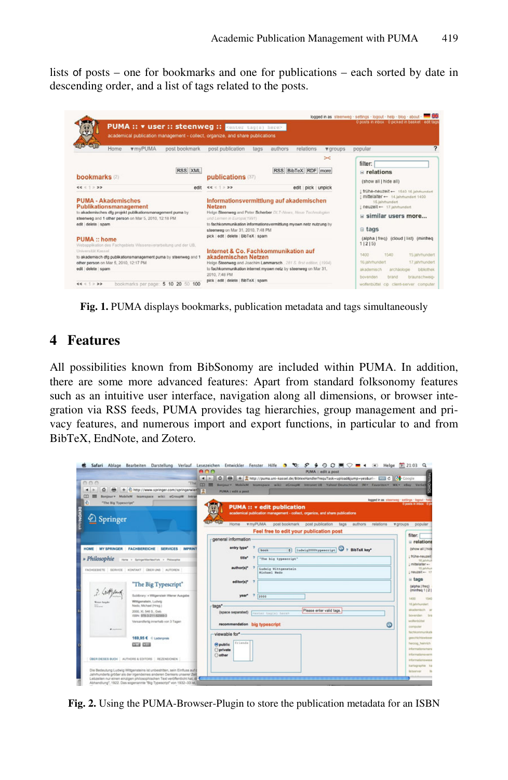lists of posts – one for bookmarks and one for publications – each sorted by date in descending order, and a list of tags related to the posts.



**Fig. 1.** PUMA displays bookmarks, publication metadata and tags simultaneously

### **4 Features**

All possibilities known from BibSonomy are included within PUMA. In addition, there are some more advanced features: Apart from standard folksonomy features such as an intuitive user interface, navigation along all dimensions, or browser integration via RSS feeds, PUMA provides tag hierarchies, group management and privacy features, and numerous import and export functions, in particular to and from BibTeX, EndNote, and Zotero.



**Fig. 2.** Using the PUMA-Browser-Plugin to store the publication metadata for an ISBN